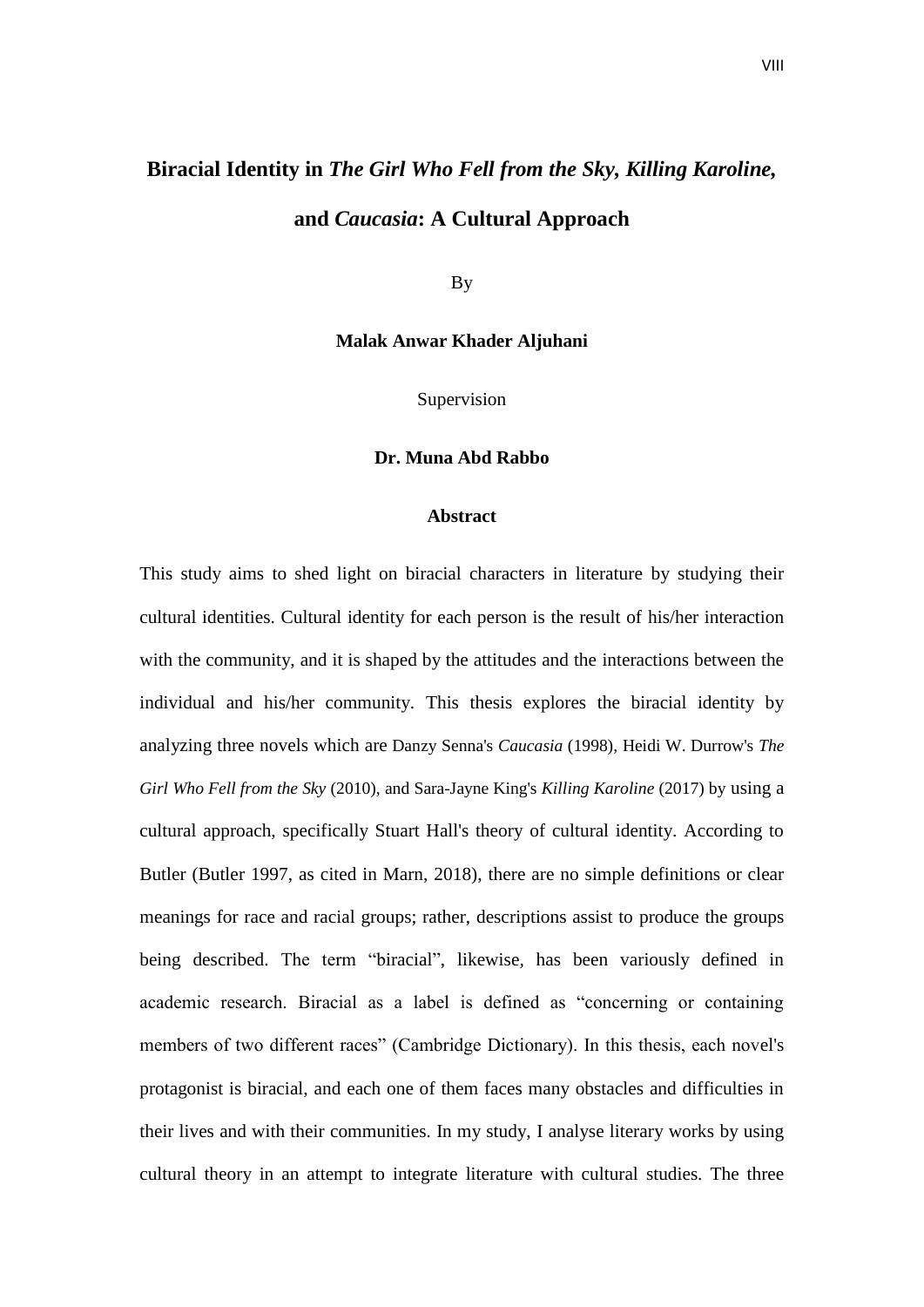## **Biracial Identity in** *The Girl Who Fell from the Sky, Killing Karoline,*

**and** *Caucasia***: A Cultural Approach**

By

## **Malak Anwar Khader Aljuhani**

Supervision

## **Dr. Muna Abd Rabbo**

## **Abstract**

This study aims to shed light on biracial characters in literature by studying their cultural identities. Cultural identity for each person is the result of his/her interaction with the community, and it is shaped by the attitudes and the interactions between the individual and his/her community. This thesis explores the biracial identity by analyzing three novels which are Danzy Senna's *Caucasia* (1998), Heidi W. Durrow's *The Girl Who Fell from the Sky* (2010), and Sara-Jayne King's *Killing Karoline* (2017) by using a cultural approach, specifically Stuart Hall's theory of cultural identity. According to Butler (Butler 1997, as cited in Marn, 2018), there are no simple definitions or clear meanings for race and racial groups; rather, descriptions assist to produce the groups being described. The term "biracial", likewise, has been variously defined in academic research. Biracial as a label is defined as "concerning or containing members of two different races" (Cambridge Dictionary). In this thesis, each novel's protagonist is biracial, and each one of them faces many obstacles and difficulties in their lives and with their communities. In my study, I analyse literary works by using cultural theory in an attempt to integrate literature with cultural studies. The three